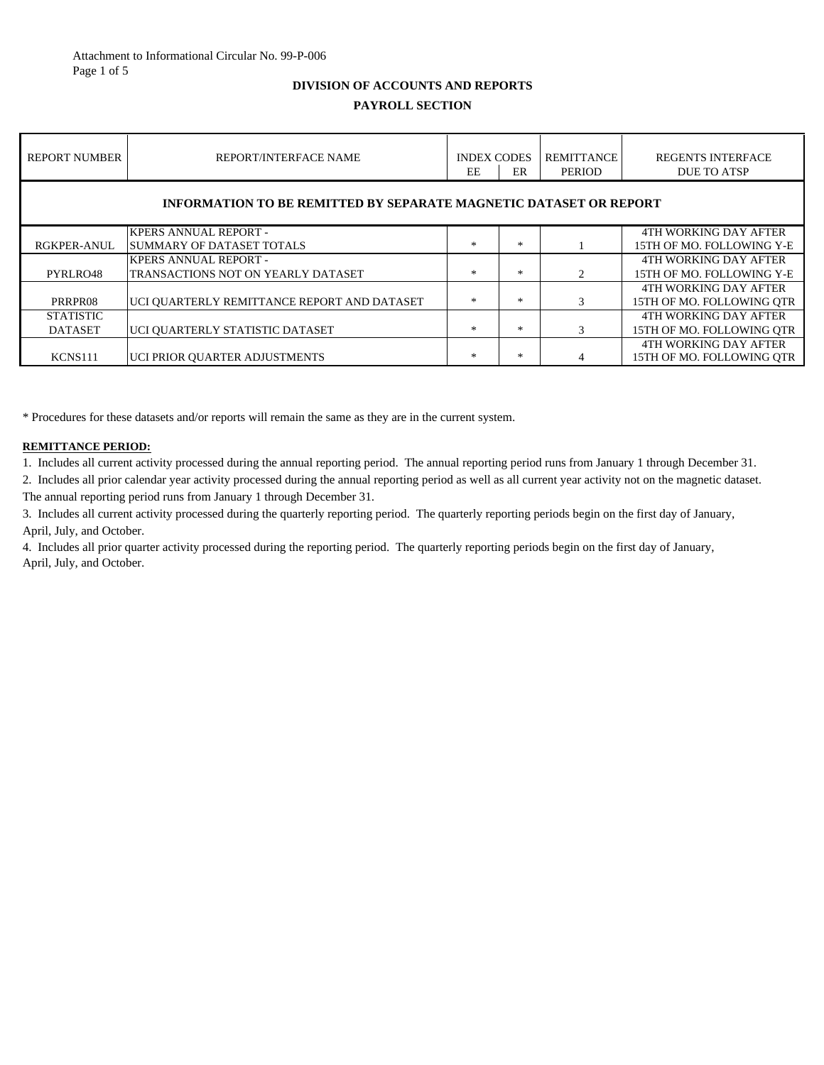## **DIVISION OF ACCOUNTS AND REPORTS**

# **PAYROLL SECTION**

| <b>REPORT NUMBER</b>                                                     | REPORT/INTERFACE NAME                       | <b>INDEX CODES</b><br><b>EE</b> | ER     | <b>REMITTANCE</b><br>PERIOD   | <b>REGENTS INTERFACE</b><br><b>DUE TO ATSP</b> |
|--------------------------------------------------------------------------|---------------------------------------------|---------------------------------|--------|-------------------------------|------------------------------------------------|
| <b>INFORMATION TO BE REMITTED BY SEPARATE MAGNETIC DATASET OR REPORT</b> |                                             |                                 |        |                               |                                                |
|                                                                          | <b>KPERS ANNUAL REPORT -</b>                |                                 |        |                               | 4TH WORKING DAY AFTER                          |
| RGKPER-ANUL                                                              | <b>SUMMARY OF DATASET TOTALS</b>            | $\ast$                          | $\ast$ |                               | 15TH OF MO. FOLLOWING Y-E                      |
|                                                                          | <b>KPERS ANNUAL REPORT -</b>                |                                 |        |                               | 4TH WORKING DAY AFTER                          |
| PYRLRO48                                                                 | TRANSACTIONS NOT ON YEARLY DATASET          | $\ast$                          | $\ast$ | $\mathfrak{D}_{\mathfrak{p}}$ | 15TH OF MO. FOLLOWING Y-E                      |
|                                                                          |                                             |                                 |        |                               | 4TH WORKING DAY AFTER                          |
| PRRPR08                                                                  | UCI OUARTERLY REMITTANCE REPORT AND DATASET | $\ast$                          | $\ast$ | $\mathcal{R}$                 | 15TH OF MO. FOLLOWING OTR                      |
| <b>STATISTIC</b>                                                         |                                             |                                 |        |                               | 4TH WORKING DAY AFTER                          |
| <b>DATASET</b>                                                           | UCI OUARTERLY STATISTIC DATASET             | $*$                             | ∗      | 3                             | 15TH OF MO. FOLLOWING OTR                      |
|                                                                          |                                             |                                 |        |                               | 4TH WORKING DAY AFTER                          |
| KCNS111                                                                  | UCI PRIOR OUARTER ADJUSTMENTS               | ×                               | $\ast$ | 4                             | 15TH OF MO. FOLLOWING OTR                      |

\* Procedures for these datasets and/or reports will remain the same as they are in the current system.

#### **REMITTANCE PERIOD:**

1. Includes all current activity processed during the annual reporting period. The annual reporting period runs from January 1 through December 31.

2. Includes all prior calendar year activity processed during the annual reporting period as well as all current year activity not on the magnetic dataset. The annual reporting period runs from January 1 through December 31.

3. Includes all current activity processed during the quarterly reporting period. The quarterly reporting periods begin on the first day of January, April, July, and October.

4. Includes all prior quarter activity processed during the reporting period. The quarterly reporting periods begin on the first day of January, April, July, and October.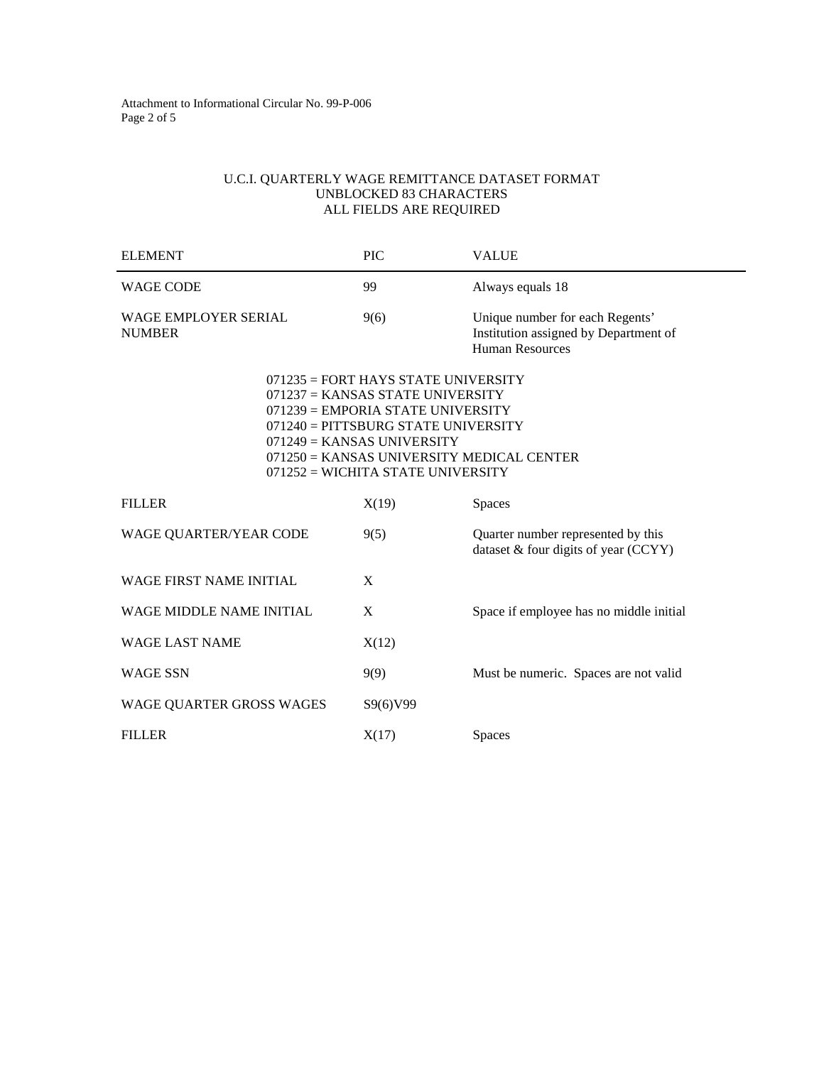# U.C.I. QUARTERLY WAGE REMITTANCE DATASET FORMAT UNBLOCKED 83 CHARACTERS ALL FIELDS ARE REQUIRED

| <b>ELEMENT</b>                        | PIC                                                                                                                                                                                                                                                                             | <b>VALUE</b>                                                                                       |  |
|---------------------------------------|---------------------------------------------------------------------------------------------------------------------------------------------------------------------------------------------------------------------------------------------------------------------------------|----------------------------------------------------------------------------------------------------|--|
| <b>WAGE CODE</b>                      | 99                                                                                                                                                                                                                                                                              | Always equals 18                                                                                   |  |
| WAGE EMPLOYER SERIAL<br><b>NUMBER</b> | 9(6)                                                                                                                                                                                                                                                                            | Unique number for each Regents'<br>Institution assigned by Department of<br><b>Human Resources</b> |  |
|                                       | $071235 = FORT HAYS STATE UNIVERSITY$<br>$071237 =$ KANSAS STATE UNIVERSITY<br>$071239$ = EMPORIA STATE UNIVERSITY<br>$071240 =$ PITTSBURG STATE UNIVERSITY<br>$071249 =$ KANSAS UNIVERSITY<br>$071250 =$ KANSAS UNIVERSITY MEDICAL CENTER<br>071252 = WICHITA STATE UNIVERSITY |                                                                                                    |  |
| <b>FILLER</b>                         | X(19)                                                                                                                                                                                                                                                                           | Spaces                                                                                             |  |
| <b>WAGE QUARTER/YEAR CODE</b>         | 9(5)                                                                                                                                                                                                                                                                            | Quarter number represented by this<br>dataset & four digits of year (CCYY)                         |  |
| <b>WAGE FIRST NAME INITIAL</b>        | $\mathbf{X}$                                                                                                                                                                                                                                                                    |                                                                                                    |  |
| WAGE MIDDLE NAME INITIAL              | X                                                                                                                                                                                                                                                                               | Space if employee has no middle initial                                                            |  |
| <b>WAGE LAST NAME</b>                 | X(12)                                                                                                                                                                                                                                                                           |                                                                                                    |  |
| <b>WAGE SSN</b>                       | 9(9)                                                                                                                                                                                                                                                                            | Must be numeric. Spaces are not valid                                                              |  |
| WAGE QUARTER GROSS WAGES              | S9(6)V99                                                                                                                                                                                                                                                                        |                                                                                                    |  |
| <b>FILLER</b>                         | X(17)                                                                                                                                                                                                                                                                           | <b>Spaces</b>                                                                                      |  |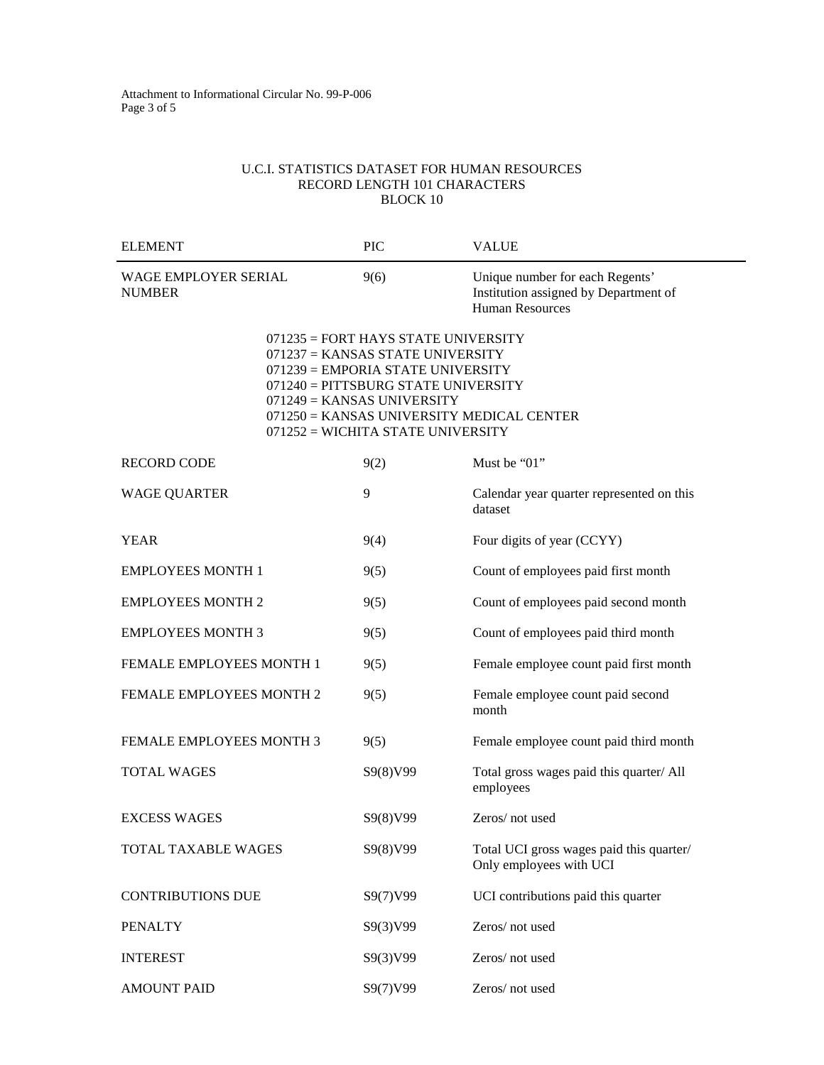#### U.C.I. STATISTICS DATASET FOR HUMAN RESOURCES RECORD LENGTH 101 CHARACTERS BLOCK 10

| <b>ELEMENT</b>                        | <b>PIC</b>                                                                                                                                                                                                                                                                  | <b>VALUE</b>                                                                                |
|---------------------------------------|-----------------------------------------------------------------------------------------------------------------------------------------------------------------------------------------------------------------------------------------------------------------------------|---------------------------------------------------------------------------------------------|
| WAGE EMPLOYER SERIAL<br><b>NUMBER</b> | 9(6)                                                                                                                                                                                                                                                                        | Unique number for each Regents'<br>Institution assigned by Department of<br>Human Resources |
|                                       | $071235$ = FORT HAYS STATE UNIVERSITY<br>$071237 =$ KANSAS STATE UNIVERSITY<br>071239 = EMPORIA STATE UNIVERSITY<br>071240 = PITTSBURG STATE UNIVERSITY<br>$071249 =$ KANSAS UNIVERSITY<br>071250 = KANSAS UNIVERSITY MEDICAL CENTER<br>$071252$ = WICHITA STATE UNIVERSITY |                                                                                             |
| <b>RECORD CODE</b>                    | 9(2)                                                                                                                                                                                                                                                                        | Must be "01"                                                                                |
| <b>WAGE QUARTER</b>                   | 9                                                                                                                                                                                                                                                                           | Calendar year quarter represented on this<br>dataset                                        |
| <b>YEAR</b>                           | 9(4)                                                                                                                                                                                                                                                                        | Four digits of year (CCYY)                                                                  |
| <b>EMPLOYEES MONTH 1</b>              | 9(5)                                                                                                                                                                                                                                                                        | Count of employees paid first month                                                         |
| <b>EMPLOYEES MONTH 2</b>              | 9(5)                                                                                                                                                                                                                                                                        | Count of employees paid second month                                                        |
| <b>EMPLOYEES MONTH 3</b>              | 9(5)                                                                                                                                                                                                                                                                        | Count of employees paid third month                                                         |
| <b>FEMALE EMPLOYEES MONTH 1</b>       | 9(5)                                                                                                                                                                                                                                                                        | Female employee count paid first month                                                      |
| FEMALE EMPLOYEES MONTH 2              | 9(5)                                                                                                                                                                                                                                                                        | Female employee count paid second<br>month                                                  |
| FEMALE EMPLOYEES MONTH 3              | 9(5)                                                                                                                                                                                                                                                                        | Female employee count paid third month                                                      |
| <b>TOTAL WAGES</b>                    | S9(8)V99                                                                                                                                                                                                                                                                    | Total gross wages paid this quarter/ All<br>employees                                       |
| <b>EXCESS WAGES</b>                   | S9(8)V99                                                                                                                                                                                                                                                                    | Zeros/not used                                                                              |
| <b>TOTAL TAXABLE WAGES</b>            | S9(8)V99                                                                                                                                                                                                                                                                    | Total UCI gross wages paid this quarter/<br>Only employees with UCI                         |
| <b>CONTRIBUTIONS DUE</b>              | S9(7)V99                                                                                                                                                                                                                                                                    | UCI contributions paid this quarter                                                         |
| <b>PENALTY</b>                        | S9(3)V99                                                                                                                                                                                                                                                                    | Zeros/not used                                                                              |
| <b>INTEREST</b>                       | S9(3)V99                                                                                                                                                                                                                                                                    | Zeros/not used                                                                              |
| <b>AMOUNT PAID</b>                    | S9(7)V99                                                                                                                                                                                                                                                                    | Zeros/not used                                                                              |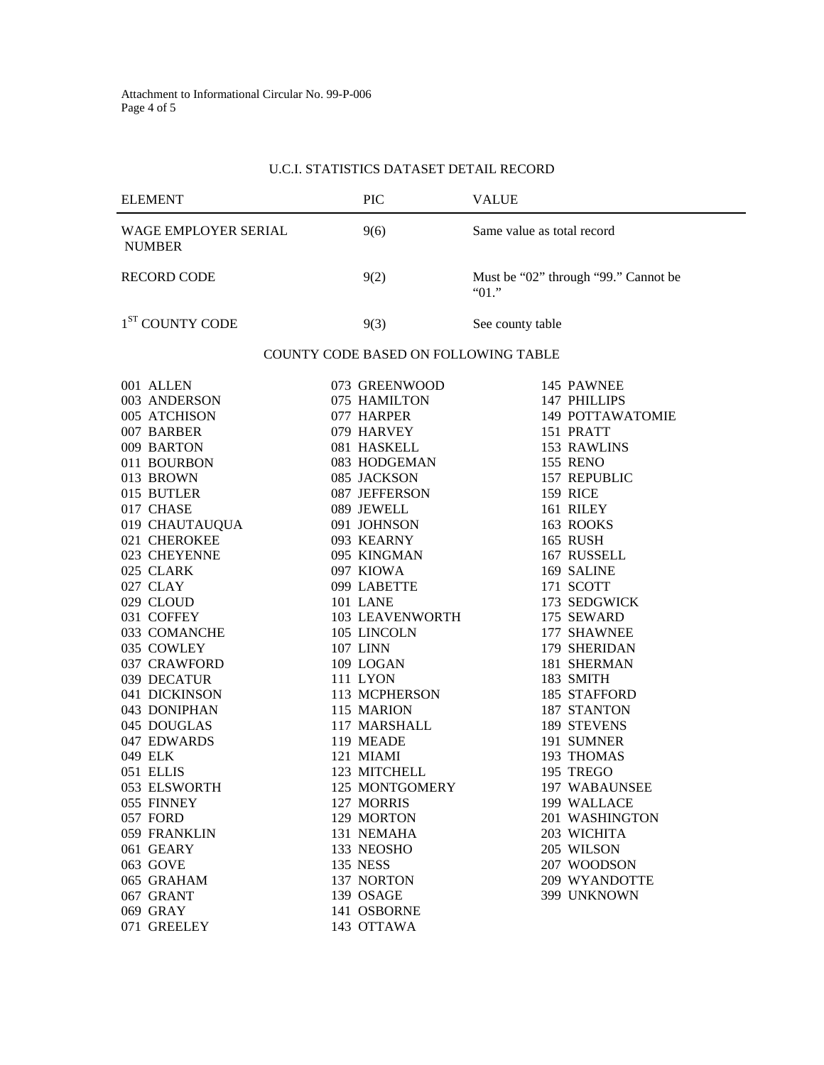# U.C.I. STATISTICS DATASET DETAIL RECORD

| <b>ELEMENT</b>                                                                                                                                                                                                                                                                                                                                                                                                                                                                                       | PIC                                                                                                                                                                                                                                                                                                                                                                                                                                                                                                                                     | <b>VALUE</b>                                                                                                                                                                                                                                                                                                                                                                                                                                                                                                                          |  |  |
|------------------------------------------------------------------------------------------------------------------------------------------------------------------------------------------------------------------------------------------------------------------------------------------------------------------------------------------------------------------------------------------------------------------------------------------------------------------------------------------------------|-----------------------------------------------------------------------------------------------------------------------------------------------------------------------------------------------------------------------------------------------------------------------------------------------------------------------------------------------------------------------------------------------------------------------------------------------------------------------------------------------------------------------------------------|---------------------------------------------------------------------------------------------------------------------------------------------------------------------------------------------------------------------------------------------------------------------------------------------------------------------------------------------------------------------------------------------------------------------------------------------------------------------------------------------------------------------------------------|--|--|
| WAGE EMPLOYER SERIAL<br><b>NUMBER</b>                                                                                                                                                                                                                                                                                                                                                                                                                                                                | 9(6)                                                                                                                                                                                                                                                                                                                                                                                                                                                                                                                                    | Same value as total record                                                                                                                                                                                                                                                                                                                                                                                                                                                                                                            |  |  |
| <b>RECORD CODE</b>                                                                                                                                                                                                                                                                                                                                                                                                                                                                                   | 9(2)                                                                                                                                                                                                                                                                                                                                                                                                                                                                                                                                    | Must be "02" through "99." Cannot be<br>"01."                                                                                                                                                                                                                                                                                                                                                                                                                                                                                         |  |  |
| 1 <sup>ST</sup> COUNTY CODE                                                                                                                                                                                                                                                                                                                                                                                                                                                                          | 9(3)                                                                                                                                                                                                                                                                                                                                                                                                                                                                                                                                    | See county table                                                                                                                                                                                                                                                                                                                                                                                                                                                                                                                      |  |  |
|                                                                                                                                                                                                                                                                                                                                                                                                                                                                                                      | <b>COUNTY CODE BASED ON FOLLOWING TABLE</b>                                                                                                                                                                                                                                                                                                                                                                                                                                                                                             |                                                                                                                                                                                                                                                                                                                                                                                                                                                                                                                                       |  |  |
| 001 ALLEN<br>003 ANDERSON<br>005 ATCHISON<br>007 BARBER<br>009 BARTON<br>011 BOURBON<br>013 BROWN<br>015 BUTLER<br>017 CHASE<br>019 CHAUTAUQUA<br>021 CHEROKEE<br>023 CHEYENNE<br>025 CLARK<br>027 CLAY<br>029 CLOUD<br>031 COFFEY<br>033 COMANCHE<br>035 COWLEY<br>037 CRAWFORD<br>039 DECATUR<br>041 DICKINSON<br>043 DONIPHAN<br>045 DOUGLAS<br>047 EDWARDS<br>049 ELK<br>051 ELLIS<br>053 ELSWORTH<br>055 FINNEY<br>057 FORD<br>059 FRANKLIN<br>061 GEARY<br>063 GOVE<br>065 GRAHAM<br>067 GRANT | 073 GREENWOOD<br>075 HAMILTON<br>077 HARPER<br>079 HARVEY<br>081 HASKELL<br>083 HODGEMAN<br>085 JACKSON<br>087 JEFFERSON<br>089 JEWELL<br>091 JOHNSON<br>093 KEARNY<br>095 KINGMAN<br>097 KIOWA<br>099 LABETTE<br>101 LANE<br><b>103 LEAVENWORTH</b><br>105 LINCOLN<br><b>107 LINN</b><br>109 LOGAN<br><b>111 LYON</b><br>113 MCPHERSON<br>115 MARION<br>117 MARSHALL<br>119 MEADE<br>121 MIAMI<br>123 MITCHELL<br>125 MONTGOMERY<br>127 MORRIS<br>129 MORTON<br>131 NEMAHA<br>133 NEOSHO<br><b>135 NESS</b><br>137 NORTON<br>139 OSAGE | 145 PAWNEE<br>147 PHILLIPS<br>149 POTTAWATOMIE<br>151 PRATT<br>153 RAWLINS<br><b>155 RENO</b><br>157 REPUBLIC<br><b>159 RICE</b><br>161 RILEY<br>163 ROOKS<br><b>165 RUSH</b><br>167 RUSSELL<br>169 SALINE<br>171 SCOTT<br>173 SEDGWICK<br>175 SEWARD<br>177 SHAWNEE<br>179 SHERIDAN<br>181 SHERMAN<br>183 SMITH<br>185 STAFFORD<br>187 STANTON<br>189 STEVENS<br>191 SUMNER<br>193 THOMAS<br>195 TREGO<br>197 WABAUNSEE<br>199 WALLACE<br>201 WASHINGTON<br>203 WICHITA<br>205 WILSON<br>207 WOODSON<br>209 WYANDOTTE<br>399 UNKNOWN |  |  |
| 069 GRAY<br>071 GREELEY                                                                                                                                                                                                                                                                                                                                                                                                                                                                              | 141 OSBORNE<br>143 OTTAWA                                                                                                                                                                                                                                                                                                                                                                                                                                                                                                               |                                                                                                                                                                                                                                                                                                                                                                                                                                                                                                                                       |  |  |